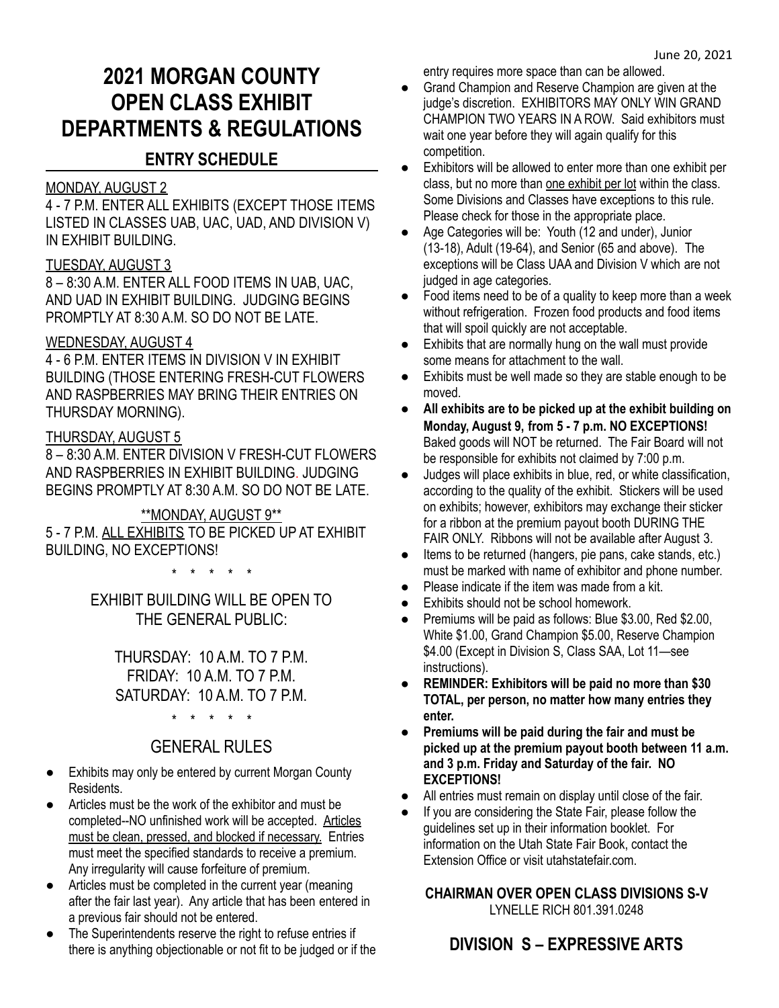# **2021 MORGAN COUNTY OPEN CLASS EXHIBIT DEPARTMENTS & REGULATIONS**

# **ENTRY SCHEDULE**

# MONDAY, AUGUST 2

4 - 7 P.M. ENTER ALL EXHIBITS (EXCEPT THOSE ITEMS LISTED IN CLASSES UAB, UAC, UAD, AND DIVISION V) IN EXHIBIT BUILDING.

# TUESDAY, AUGUST 3

8 – 8:30 A.M. ENTER ALL FOOD ITEMS IN UAB, UAC, AND UAD IN EXHIBIT BUILDING. JUDGING BEGINS PROMPTLY AT 8:30 A.M. SO DO NOT BE LATE.

# WEDNESDAY, AUGUST 4

4 - 6 P.M. ENTER ITEMS IN DIVISION V IN EXHIBIT BUILDING (THOSE ENTERING FRESH-CUT FLOWERS AND RASPBERRIES MAY BRING THEIR ENTRIES ON THURSDAY MORNING).

# THURSDAY, AUGUST 5

8 – 8:30 A.M. ENTER DIVISION V FRESH-CUT FLOWERS AND RASPBERRIES IN EXHIBIT BUILDING. JUDGING BEGINS PROMPTLY AT 8:30 A.M. SO DO NOT BE LATE.

# \*\*MONDAY, AUGUST 9\*\*

5 - 7 P.M. ALL EXHIBITS TO BE PICKED UP AT EXHIBIT BUILDING, NO EXCEPTIONS!

\* \* \* \* \*

EXHIBIT BUILDING WILL BE OPEN TO THE GENERAL PUBLIC:

THURSDAY: 10 A.M. TO 7 P.M. FRIDAY: 10 A.M. TO 7 P.M. SATURDAY: 10 A.M. TO 7 P.M.

\* \* \* \* \*

# GENERAL RULES

- Exhibits may only be entered by current Morgan County Residents.
- Articles must be the work of the exhibitor and must be completed--NO unfinished work will be accepted. Articles must be clean, pressed, and blocked if necessary. Entries must meet the specified standards to receive a premium. Any irregularity will cause forfeiture of premium.
- Articles must be completed in the current year (meaning after the fair last year). Any article that has been entered in a previous fair should not be entered.
- The Superintendents reserve the right to refuse entries if there is anything objectionable or not fit to be judged or if the

entry requires more space than can be allowed.

- Grand Champion and Reserve Champion are given at the judge's discretion. EXHIBITORS MAY ONLY WIN GRAND CHAMPION TWO YEARS IN A ROW. Said exhibitors must wait one year before they will again qualify for this competition.
- Exhibitors will be allowed to enter more than one exhibit per class, but no more than one exhibit per lot within the class. Some Divisions and Classes have exceptions to this rule. Please check for those in the appropriate place.
- Age Categories will be: Youth (12 and under), Junior (13-18), Adult (19-64), and Senior (65 and above). The exceptions will be Class UAA and Division V which are not judged in age categories.
- Food items need to be of a quality to keep more than a week without refrigeration. Frozen food products and food items that will spoil quickly are not acceptable.
- Exhibits that are normally hung on the wall must provide some means for attachment to the wall.
- Exhibits must be well made so they are stable enough to be moved.
- **All exhibits are to be picked up at the exhibit building on Monday, August 9, from 5 - 7 p.m. NO EXCEPTIONS!** Baked goods will NOT be returned. The Fair Board will not be responsible for exhibits not claimed by 7:00 p.m.
- Judges will place exhibits in blue, red, or white classification, according to the quality of the exhibit. Stickers will be used on exhibits; however, exhibitors may exchange their sticker for a ribbon at the premium payout booth DURING THE FAIR ONLY. Ribbons will not be available after August 3.
- Items to be returned (hangers, pie pans, cake stands, etc.) must be marked with name of exhibitor and phone number.
- Please indicate if the item was made from a kit.
- Exhibits should not be school homework.
- Premiums will be paid as follows: Blue \$3.00, Red \$2.00, White \$1.00, Grand Champion \$5.00, Reserve Champion \$4.00 (Except in Division S, Class SAA, Lot 11—see instructions).
- **● REMINDER: Exhibitors will be paid no more than \$30 TOTAL, per person, no matter how many entries they enter.**
- **● Premiums will be paid during the fair and must be picked up at the premium payout booth between 11 a.m. and 3 p.m. Friday and Saturday of the fair. NO EXCEPTIONS!**
- All entries must remain on display until close of the fair.
- If you are considering the State Fair, please follow the guidelines set up in their information booklet. For information on the Utah State Fair Book, contact the Extension Office or visit utahstatefair.com.

# **CHAIRMAN OVER OPEN CLASS DIVISIONS S-V** LYNELLE RICH 801.391.0248

# **DIVISION S – EXPRESSIVE ARTS**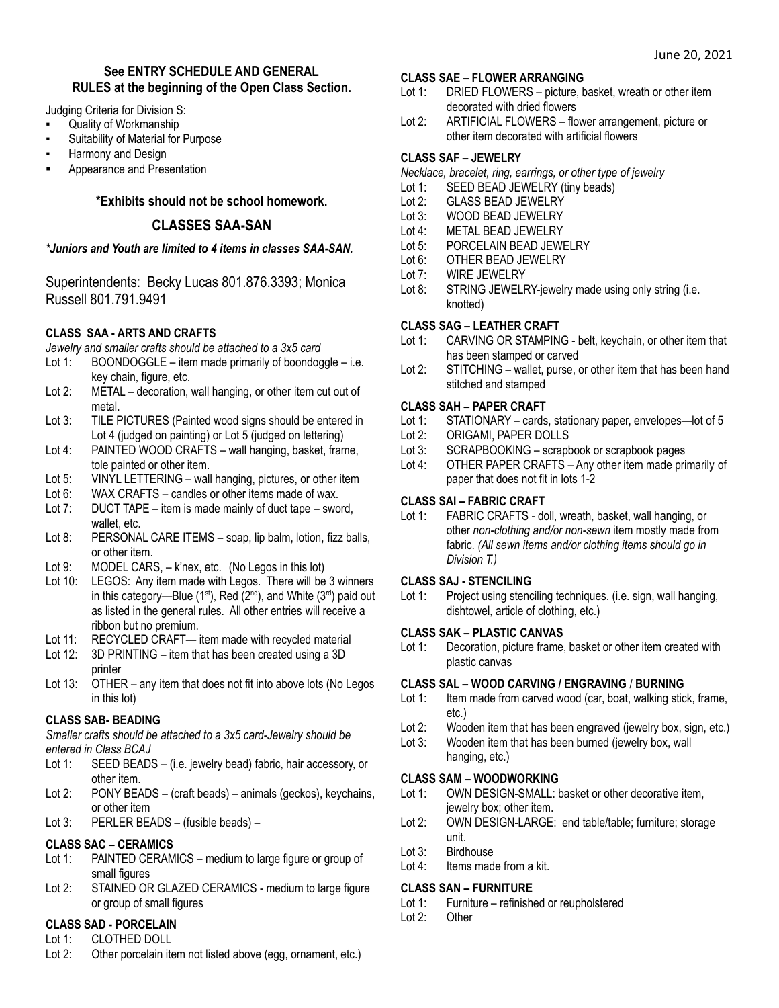### **See ENTRY SCHEDULE AND GENERAL RULES at the beginning of the Open Class Section.**

Judging Criteria for Division S:

- **Quality of Workmanship**
- Suitability of Material for Purpose
- Harmony and Design
- Appearance and Presentation

# **\*Exhibits should not be school homework.**

# **CLASSES SAA-SAN**

### *\*Juniors and Youth are limited to 4 items in classes SAA-SAN.*

Superintendents: Becky Lucas 801.876.3393; Monica Russell 801.791.9491

# **CLASS SAA - ARTS AND CRAFTS**

*Jewelry and smaller crafts should be attached to a 3x5 card*

- Lot 1: BOONDOGGLE item made primarily of boondoggle i.e. key chain, figure, etc.
- Lot 2: METAL decoration, wall hanging, or other item cut out of metal.
- Lot 3: TILE PICTURES (Painted wood signs should be entered in Lot 4 (judged on painting) or Lot 5 (judged on lettering)
- Lot 4: PAINTED WOOD CRAFTS wall hanging, basket, frame, tole painted or other item.
- Lot 5: VINYL LETTERING wall hanging, pictures, or other item
- Lot 6: WAX CRAFTS candles or other items made of wax.
- Lot 7: DUCT TAPE item is made mainly of duct tape sword, wallet, etc.
- Lot 8: PERSONAL CARE ITEMS soap, lip balm, lotion, fizz balls, or other item.
- Lot 9: MODEL CARS, k'nex, etc. (No Legos in this lot)
- Lot 10: LEGOS: Any item made with Legos. There will be 3 winners in this category—Blue (1<sup>st</sup>), Red (2<sup>nd</sup>), and White (3<sup>rd</sup>) paid out as listed in the general rules. All other entries will receive a ribbon but no premium.
- Lot 11: RECYCLED CRAFT— item made with recycled material
- Lot 12: 3D PRINTING item that has been created using a 3D printer
- Lot 13: OTHER any item that does not fit into above lots (No Legos in this lot)

# **CLASS SAB- BEADING**

*Smaller crafts should be attached to a 3x5 card-Jewelry should be entered in Class BCAJ*

- Lot 1: SEED BEADS (i.e. jewelry bead) fabric, hair accessory, or other item.
- Lot 2: PONY BEADS (craft beads) animals (geckos), keychains, or other item
- Lot 3: PERLER BEADS (fusible beads) –

# **CLASS SAC – CERAMICS**

- Lot 1: PAINTED CERAMICS medium to large figure or group of small figures
- Lot 2: STAINED OR GLAZED CERAMICS medium to large figure or group of small figures

# **CLASS SAD - PORCELAIN**

- Lot 1: CLOTHED DOLL
- Lot 2: Other porcelain item not listed above (egg, ornament, etc.)

### **CLASS SAE – FLOWER ARRANGING**

- Lot 1: DRIED FLOWERS picture, basket, wreath or other item decorated with dried flowers
- Lot 2: ARTIFICIAL FLOWERS flower arrangement, picture or other item decorated with artificial flowers

# **CLASS SAF – JEWELRY**

- *Necklace, bracelet, ring, earrings, or other type of jewelry*
- Lot 1: SEED BEAD JEWELRY (tiny beads)
- Lot 2: GLASS BEAD JEWELRY
- Lot 3: WOOD BEAD JEWELRY
- Lot 4: METAL BEAD JEWELRY
- Lot 5: PORCELAIN BEAD JEWELRY
- Lot 6: OTHER BEAD JEWELRY
- Lot 7: WIRE JEWELRY
- Lot 8: STRING JEWELRY-jewelry made using only string (i.e. knotted)

# **CLASS SAG – LEATHER CRAFT**

- Lot 1: CARVING OR STAMPING belt, keychain, or other item that has been stamped or carved
- Lot 2: STITCHING wallet, purse, or other item that has been hand stitched and stamped

# **CLASS SAH – PAPER CRAFT**

- Lot 1: STATIONARY cards, stationary paper, envelopes—lot of 5<br>Lot 2: ORIGAMI, PAPER DOLLS
- ORIGAMI, PAPER DOLLS
- Lot 3: SCRAPBOOKING scrapbook or scrapbook pages
- Lot 4: OTHER PAPER CRAFTS Any other item made primarily of paper that does not fit in lots 1-2

# **CLASS SAI – FABRIC CRAFT**

Lot 1: FABRIC CRAFTS - doll, wreath, basket, wall hanging, or other *non-clothing and/or non-sewn* item mostly made from fabric. *(All sewn items and/or clothing items should go in Division T.)*

# **CLASS SAJ - STENCILING**

Lot 1: Project using stenciling techniques. (i.e. sign, wall hanging, dishtowel, article of clothing, etc.)

# **CLASS SAK – PLASTIC CANVAS**

Lot 1: Decoration, picture frame, basket or other item created with plastic canvas

# **CLASS SAL – WOOD CARVING / ENGRAVING** / **BURNING**

- Lot 1: Item made from carved wood (car, boat, walking stick, frame, etc.)
- Lot 2: Wooden item that has been engraved (jewelry box, sign, etc.)
- Lot 3: Wooden item that has been burned (jewelry box, wall hanging, etc.)

# **CLASS SAM – WOODWORKING**

- Lot 1: OWN DESIGN-SMALL: basket or other decorative item, jewelry box; other item.
- Lot 2: OWN DESIGN-LARGE: end table/table; furniture; storage unit.
- Lot 3: Birdhouse
- Lot 4: Items made from a kit.

# **CLASS SAN – FURNITURE**

- Lot 1: Furniture refinished or reupholstered
- Lot 2: Other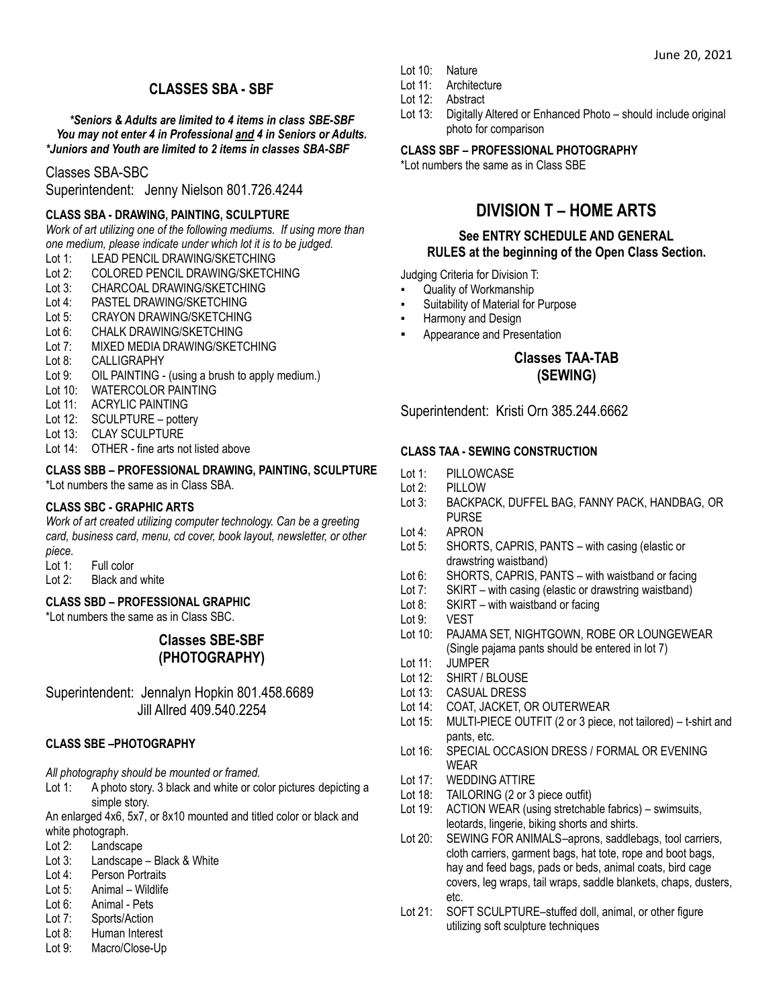# **CLASSES SBA - SBF**

*\*Seniors & Adults are limited to 4 items in class SBE-SBF You may not enter 4 in Professional and 4 in Seniors or Adults. \*Juniors and Youth are limited to 2 items in classes SBA-SBF*

### Classes SBA-SBC

Superintendent: Jenny Nielson 801.726.4244

#### **CLASS SBA - DRAWING, PAINTING, SCULPTURE**

*Work of art utilizing one of the following mediums. If using more than one medium, please indicate under which lot it is to be judged.*

- Lot 1: LEAD PENCIL DRAWING/SKETCHING
- Lot 2: COLORED PENCIL DRAWING/SKETCHING<br>Lot 3: CHARCOAL DRAWING/SKETCHING
- CHARCOAL DRAWING/SKETCHING
- Lot 4: PASTEL DRAWING/SKETCHING
- Lot 5: CRAYON DRAWING/SKETCHING
- Lot 6: CHALK DRAWING/SKETCHING
- Lot 7: MIXED MEDIA DRAWING/SKETCHING
- Lot 8: CALLIGRAPHY
- Lot 9: OIL PAINTING (using a brush to apply medium.)
- Lot 10: WATERCOLOR PAINTING
- Lot 11: ACRYLIC PAINTING
- Lot 12: SCULPTURE pottery
- Lot 13: CLAY SCULPTURE
- Lot 14: OTHER fine arts not listed above

#### **CLASS SBB – PROFESSIONAL DRAWING, PAINTING, SCULPTURE** \*Lot numbers the same as in Class SBA.

#### **CLASS SBC - GRAPHIC ARTS**

*Work of art created utilizing computer technology. Can be a greeting card, business card, menu, cd cover, book layout, newsletter, or other*

- *piece.*
- Lot 1: Full color
- Lot 2: Black and white

# **CLASS SBD – PROFESSIONAL GRAPHIC**

\*Lot numbers the same as in Class SBC.

# **Classes SBE-SBF (PHOTOGRAPHY)**

Superintendent: Jennalyn Hopkin 801.458.6689 Jill Allred 409.540.2254

# **CLASS SBE –PHOTOGRAPHY**

#### *All photography should be mounted or framed.*

Lot 1: A photo story. 3 black and white or color pictures depicting a simple story.

An enlarged 4x6, 5x7, or 8x10 mounted and titled color or black and white photograph.

- Lot 2: Landscape
- Lot 3: Landscape Black & White
- Lot 4: Person Portraits
- Lot 5: Animal Wildlife
- Lot 6: Animal Pets
- Lot 7: Sports/Action
- Lot 8: Human Interest
- Lot 9: Macro/Close-Up
- Lot 10: Nature
- Lot 11: Architecture
- Lot 12: Abstract
- Lot 13: Digitally Altered or Enhanced Photo should include original photo for comparison

#### **CLASS SBF – PROFESSIONAL PHOTOGRAPHY**

\*Lot numbers the same as in Class SBE

# **DIVISION T – HOME ARTS**

#### **See ENTRY SCHEDULE AND GENERAL RULES at the beginning of the Open Class Section.**

Judging Criteria for Division T:

- Quality of Workmanship
- Suitability of Material for Purpose
- Harmony and Design
- Appearance and Presentation

### **Classes TAA-TAB (SEWING)**

Superintendent: Kristi Orn 385.244.6662

#### **CLASS TAA - SEWING CONSTRUCTION**

- Lot 1: PILLOWCASE
- Lot 2: PILLOW
- Lot 3: BACKPACK, DUFFEL BAG, FANNY PACK, HANDBAG, OR PURSE
- Lot 4: APRON
- Lot 5: SHORTS, CAPRIS, PANTS with casing (elastic or drawstring waistband)
- Lot 6: SHORTS, CAPRIS, PANTS with waistband or facing
- Lot 7: SKIRT with casing (elastic or drawstring waistband)
- Lot 8: SKIRT with waistband or facing
- Lot 9: VEST
- Lot 10: PAJAMA SET, NIGHTGOWN, ROBE OR LOUNGEWEAR (Single pajama pants should be entered in lot 7)
- Lot 11: JUMPER
- Lot 12: SHIRT / BLOUSE
- Lot 13: CASUAL DRESS
- Lot 14: COAT, JACKET, OR OUTERWEAR
- Lot 15: MULTI-PIECE OUTFIT (2 or 3 piece, not tailored) t-shirt and pants, etc.
- Lot 16: SPECIAL OCCASION DRESS / FORMAL OR EVENING WEAR
- Lot 17: WEDDING ATTIRE
- Lot 18: TAILORING (2 or 3 piece outfit)
- Lot 19: ACTION WEAR (using stretchable fabrics) swimsuits, leotards, lingerie, biking shorts and shirts.
- Lot 20: SEWING FOR ANIMALS-aprons, saddlebags, tool carriers, cloth carriers, garment bags, hat tote, rope and boot bags, hay and feed bags, pads or beds, animal coats, bird cage covers, leg wraps, tail wraps, saddle blankets, chaps, dusters, etc.
- Lot 21: SOFT SCULPTURE–stuffed doll, animal, or other figure utilizing soft sculpture techniques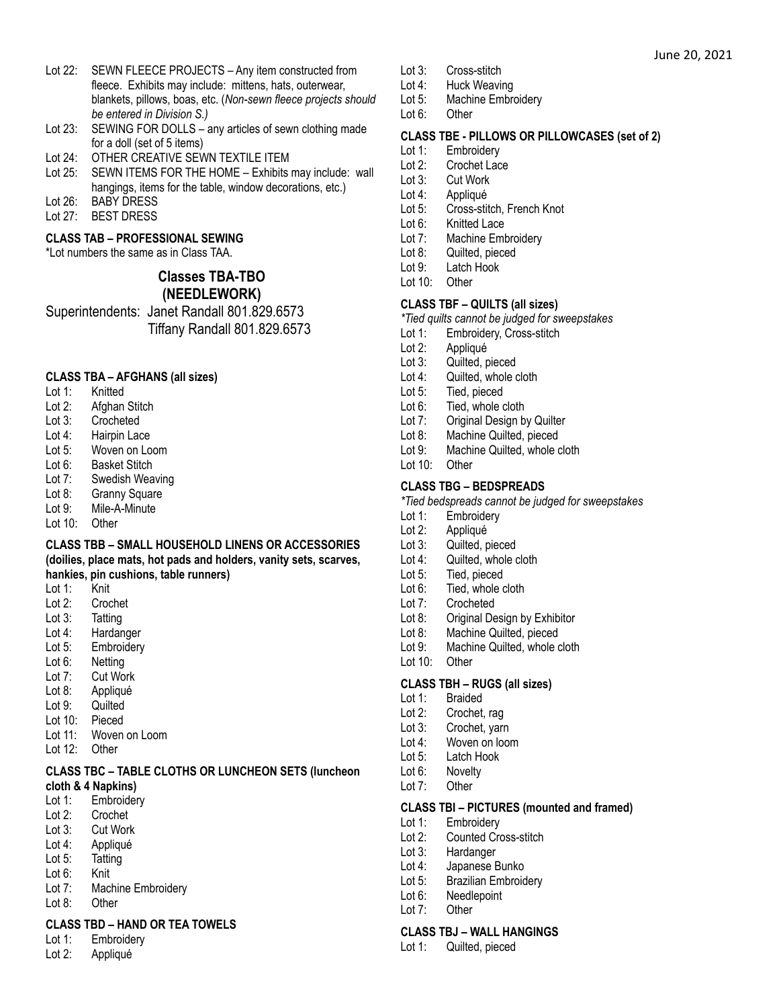- Lot 23: SEWING FOR DOLLS any articles of sewn clothing made for a doll (set of 5 items)
- Lot 24: OTHER CREATIVE SEWN TEXTILE ITEM
- Lot 25: SEWN ITEMS FOR THE HOME Exhibits may include: wall hangings, items for the table, window decorations, etc.)
- Lot 26: BABY DRESS
- Lot 27: BEST DRESS

# **CLASS TAB – PROFESSIONAL SEWING**

\*Lot numbers the same as in Class TAA.

# **Classes TBA-TBO (NEEDLEWORK)**

Superintendents: Janet Randall 801.829.6573 Tiffany Randall 801.829.6573

### **CLASS TBA – AFGHANS (all sizes)**

- Lot 1: Knitted
- Lot 2: Afghan Stitch
- Lot 3: Crocheted
- Lot 4: Hairpin Lace
- Lot 5: Woven on Loom
- Lot 6: Basket Stitch
- Lot 7: Swedish Weaving
- Lot 8: Granny Square
- Lot 9: Mile-A-Minute
- Lot 10: Other

#### **CLASS TBB – SMALL HOUSEHOLD LINENS OR ACCESSORIES (doilies, place mats, hot pads and holders, vanity sets, scarves, hankies, pin cushions, table runners)**

- Lot 1: Knit
- Lot 2: Crochet
- Lot 3: Tatting
- Lot 4: Hardanger
- Lot 5: Embroidery
- Lot 6: Netting
- Lot 7: Cut Work
- Lot 8: Appliqué
- Lot 9: Quilted
- Lot 10: Pieced
- Lot 11: Woven on Loom
- Lot 12: Other

#### **CLASS TBC – TABLE CLOTHS OR LUNCHEON SETS (luncheon cloth & 4 Napkins)**

- Lot 1: Embroidery
- Lot 2: Crochet
- Lot 3: Cut Work
- Lot 4: Appliqué
- Lot 5: Tatting
- Lot 6: Knit
- Lot 7: Machine Embroidery
- Lot 8: Other

#### **CLASS TBD – HAND OR TEA TOWELS**

- Lot 1: Embroidery
- Lot 2: Appliqué
- Lot 3: Cross-stitch
- Lot 4: Huck Weaving<br>Lot 5: Machine Embr
- Machine Embroidery
- Lot 6: Other

### **CLASS TBE - PILLOWS OR PILLOWCASES (set of 2)**

June 20, 2021

- Lot 1: Embroidery
- Lot 2: Crochet Lace
- Lot 3: Cut Work
- Lot 4: Appliqué
- Lot 5: Cross-stitch, French Knot
- Lot 6: Knitted Lace
- Lot 7: Machine Embroidery
- Lot 8: Quilted, pieced
- Lot 9: Latch Hook
- Lot 10: Other

### **CLASS TBF – QUILTS (all sizes)**

*\*Tied quilts cannot be judged for sweepstakes*

- Lot 1: Embroidery, Cross-stitch
- Lot 2: Appliqué
- Lot 3: Quilted, pieced
- Lot 4: Quilted, whole cloth
- Lot 5: Tied, pieced
- Lot 6: Tied, whole cloth
- 
- Lot 7: Original Design by Quilter<br>Lot 8: Machine Quilted, pieced Machine Quilted, pieced
- Lot 9: Machine Quilted, whole cloth
- Lot 10: Other

### **CLASS TBG – BEDSPREADS**

- *\*Tied bedspreads cannot be judged for sweepstakes*
- Lot 1: Embroidery
- Lot 2: Appliqué
- Lot 3: Quilted, pieced
- Lot 4: Quilted, whole cloth
- Lot 5: Tied, pieced
- Lot 6: Tied, whole cloth
- Lot 7: Crocheted<br>Lot 8: Original De
- **Original Design by Exhibitor**
- Lot 8: Machine Quilted, pieced
- Lot 9: Machine Quilted, whole cloth
- Lot 10: Other

#### **CLASS TBH – RUGS (all sizes)**

- Lot 1: Braided
- Lot 2: Crochet, rag
- Lot 3: Crochet, yarn
- Lot 4: Woven on loom
- Lot 5: Latch Hook
- Lot 6: Novelty
- Lot 7: Other

#### **CLASS TBI – PICTURES (mounted and framed)**

- Lot 1: Embroidery
- Lot 2: Counted Cross-stitch
- Lot 3: Hardanger
- Lot 4: Japanese Bunko

Lot 6: Needlepoint Lot 7: Other

Lot 1: Quilted, pieced

Lot 5: Brazilian Embroidery

**CLASS TBJ – WALL HANGINGS**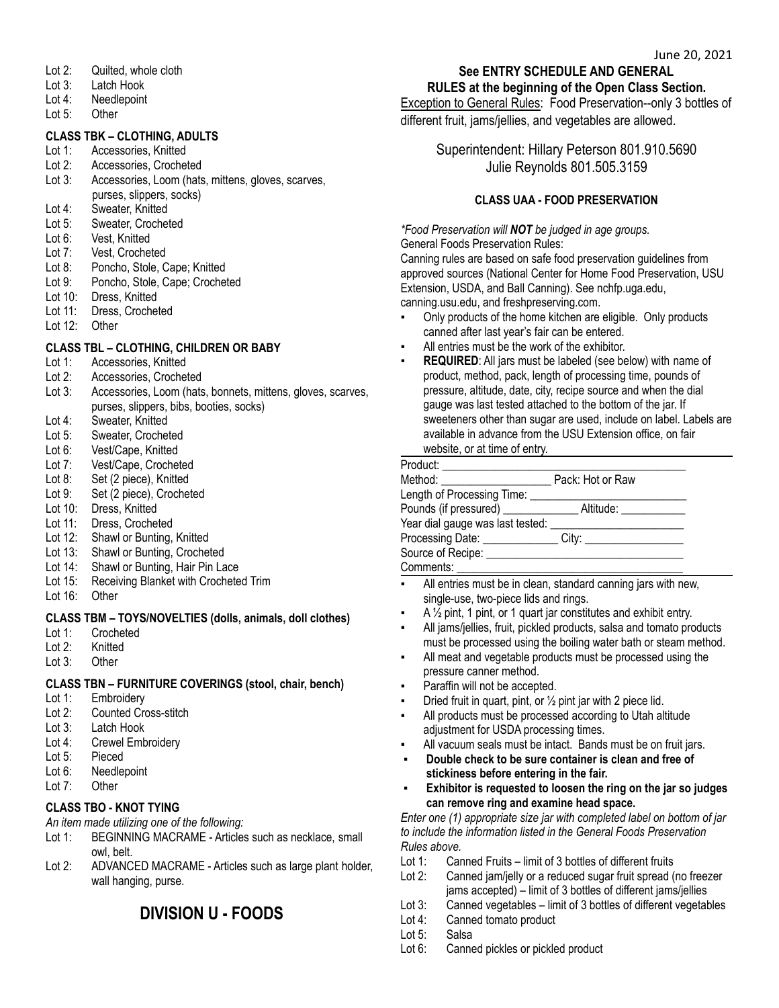- Lot 2: Quilted, whole cloth
- Lot 3: Latch Hook
- Lot 4: Needlepoint
- Lot 5: Other

### **CLASS TBK – CLOTHING, ADULTS**

- Lot 1: Accessories, Knitted
- Lot 2: Accessories, Crocheted
- Lot 3: Accessories, Loom (hats, mittens, gloves, scarves, purses, slippers, socks)
- Lot 4: Sweater, Knitted<br>Lot 5: Sweater. Croche
- Sweater, Crocheted
- Lot 6: Vest, Knitted
- Lot 7: Vest, Crocheted
- Lot 8: Poncho, Stole, Cape; Knitted
- Lot 9: Poncho, Stole, Cape; Crocheted
- Lot 10: Dress, Knitted
- Lot 11: Dress, Crocheted
- Lot 12: Other

# **CLASS TBL – CLOTHING, CHILDREN OR BABY**

- Lot 1: Accessories, Knitted
- Lot 2: Accessories, Crocheted<br>Lot 3: Accessories. Loom (hats
- Accessories, Loom (hats, bonnets, mittens, gloves, scarves, purses, slippers, bibs, booties, socks)
- Lot 4: Sweater, Knitted
- Lot 5: Sweater, Crocheted
- Lot 6: Vest/Cape, Knitted
- Lot 7: Vest/Cape, Crocheted
- Lot 8: Set (2 piece), Knitted
- Lot 9: Set (2 piece), Crocheted
- Lot 10: Dress, Knitted
- Lot 11: Dress, Crocheted
- Lot 12: Shawl or Bunting, Knitted
- Lot 13: Shawl or Bunting, Crocheted
- Lot 14: Shawl or Bunting, Hair Pin Lace
- Lot 15: Receiving Blanket with Crocheted Trim
- Lot 16: Other

#### **CLASS TBM – TOYS/NOVELTIES (dolls, animals, doll clothes)**

- Lot 1: Crocheted
- Lot 2: Knitted
- Lot 3: Other

#### **CLASS TBN – FURNITURE COVERINGS (stool, chair, bench)**

- Lot 1: Embroidery
- Lot 2: Counted Cross-stitch<br>Lot 3: Latch Hook
- Latch Hook
- Lot 4: Crewel Embroidery
- Lot 5: Pieced
- Lot 6: Needlepoint
- Lot 7: Other

# **CLASS TBO - KNOT TYING**

*An item made utilizing one of the following:*

- Lot 1: BEGINNING MACRAME Articles such as necklace, small owl, belt.
- Lot 2: ADVANCED MACRAME Articles such as large plant holder, wall hanging, purse.

# **DIVISION U - FOODS**

#### **See ENTRY SCHEDULE AND GENERAL RULES at the beginning of the Open Class Section.**

Exception to General Rules: Food Preservation--only 3 bottles of different fruit, jams/jellies, and vegetables are allowed.

> Superintendent: Hillary Peterson 801.910.5690 Julie Reynolds 801.505.3159

# **CLASS UAA - FOOD PRESERVATION**

*\*Food Preservation will NOT be judged in age groups.* General Foods Preservation Rules:

Canning rules are based on safe food preservation guidelines from approved sources (National Center for Home Food Preservation, USU Extension, USDA, and Ball Canning). See nchfp.uga.edu, canning.usu.edu, and freshpreserving.com.

- Only products of the home kitchen are eligible. Only products canned after last year's fair can be entered.
- All entries must be the work of the exhibitor.
- **REQUIRED:** All jars must be labeled (see below) with name of product, method, pack, length of processing time, pounds of pressure, altitude, date, city, recipe source and when the dial gauge was last tested attached to the bottom of the jar. If sweeteners other than sugar are used, include on label. Labels are available in advance from the USU Extension office, on fair website, or at time of entry.

| Product:                                                                                                                                                                                                                       |                  |  |
|--------------------------------------------------------------------------------------------------------------------------------------------------------------------------------------------------------------------------------|------------------|--|
| Method: will be a series of the series of the series of the series of the series of the series of the series of the series of the series of the series of the series of the series of the series of the series of the series o | Pack: Hot or Raw |  |
|                                                                                                                                                                                                                                |                  |  |
|                                                                                                                                                                                                                                |                  |  |
| Year dial gauge was last tested:                                                                                                                                                                                               |                  |  |
| Processing Date: ______________                                                                                                                                                                                                |                  |  |
|                                                                                                                                                                                                                                |                  |  |
| Comments:                                                                                                                                                                                                                      |                  |  |

- All entries must be in clean, standard canning jars with new, single-use, two-piece lids and rings.
- A  $\frac{1}{2}$  pint, 1 pint, or 1 quart jar constitutes and exhibit entry.
- All jams/jellies, fruit, pickled products, salsa and tomato products must be processed using the boiling water bath or steam method.
- All meat and vegetable products must be processed using the pressure canner method.
- Paraffin will not be accepted.
- Dried fruit in quart, pint, or  $\frac{1}{2}$  pint jar with 2 piece lid.
- All products must be processed according to Utah altitude adjustment for USDA processing times.
- All vacuum seals must be intact. Bands must be on fruit jars.
- **▪ Double check to be sure container is clean and free of stickiness before entering in the fair.**
- **▪ Exhibitor is requested to loosen the ring on the jar so judges can remove ring and examine head space.**

*Enter one (1) appropriate size jar with completed label on bottom of jar to include the information listed in the General Foods Preservation Rules above.*

- Lot 1: Canned Fruits limit of 3 bottles of different fruits
- Lot 2: Canned jam/jelly or a reduced sugar fruit spread (no freezer jams accepted) – limit of 3 bottles of different jams/jellies
- Lot 3: Canned vegetables limit of 3 bottles of different vegetables
- Lot 4: Canned tomato product
- Lot 5: Salsa
- Lot 6: Canned pickles or pickled product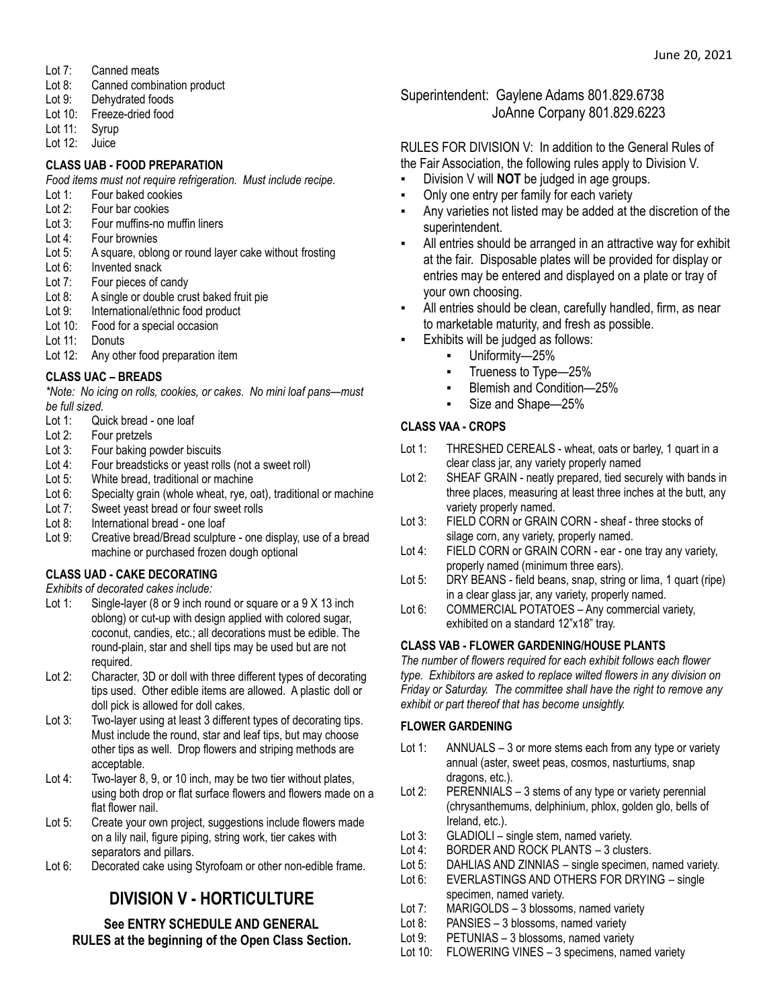- Lot 7: Canned meats
- Lot 8: Canned combination product
- Lot 9: Dehydrated foods
- Lot 10: Freeze-dried food
- Lot 11: Syrup
- Lot 12: Juice

### **CLASS UAB - FOOD PREPARATION**

*Food items must not require refrigeration. Must include recipe.*

- Lot 1: Four baked cookies
- Lot 2: Four bar cookies
- Lot 3: Four muffins-no muffin liners
- Lot 4: Four brownies
- Lot 5: A square, oblong or round layer cake without frosting
- Lot 6: Invented snack
- Lot 7: Four pieces of candy
- Lot 8: A single or double crust baked fruit pie
- Lot 9: International/ethnic food product
- Lot 10: Food for a special occasion
- Lot 11: Donuts
- Lot 12: Any other food preparation item

# **CLASS UAC – BREADS**

*\*Note: No icing on rolls, cookies, or cakes. No mini loaf pans—must be full sized.*

- Lot 1: Quick bread one loaf<br>Lot 2: Four pretzels
- Four pretzels
- Lot 3: Four baking powder biscuits
- Lot 4: Four breadsticks or yeast rolls (not a sweet roll)
- Lot 5: White bread, traditional or machine
- Lot 6: Specialty grain (whole wheat, rye, oat), traditional or machine
- Lot 7: Sweet yeast bread or four sweet rolls
- Lot 8: International bread one loaf
- Lot 9: Creative bread/Bread sculpture one display, use of a bread machine or purchased frozen dough optional

# **CLASS UAD - CAKE DECORATING**

*Exhibits of decorated cakes include:*

- Lot 1: Single-layer (8 or 9 inch round or square or a 9 X 13 inch oblong) or cut-up with design applied with colored sugar, coconut, candies, etc.; all decorations must be edible. The round-plain, star and shell tips may be used but are not required.
- Lot 2: Character, 3D or doll with three different types of decorating tips used. Other edible items are allowed. A plastic doll or doll pick is allowed for doll cakes.
- Lot 3: Two-layer using at least 3 different types of decorating tips. Must include the round, star and leaf tips, but may choose other tips as well. Drop flowers and striping methods are acceptable.
- Lot 4: Two-layer 8, 9, or 10 inch, may be two tier without plates, using both drop or flat surface flowers and flowers made on a flat flower nail.
- Lot 5: Create your own project, suggestions include flowers made on a lily nail, figure piping, string work, tier cakes with separators and pillars.
- Lot 6: Decorated cake using Styrofoam or other non-edible frame.

# **DIVISION V - HORTICULTURE**

# **See ENTRY SCHEDULE AND GENERAL RULES at the beginning of the Open Class Section.**

# Superintendent: Gaylene Adams 801.829.6738 JoAnne Corpany 801.829.6223

# RULES FOR DIVISION V: In addition to the General Rules of the Fair Association, the following rules apply to Division V.

- Division V will **NOT** be judged in age groups.
- Only one entry per family for each variety
- Any varieties not listed may be added at the discretion of the superintendent.
- All entries should be arranged in an attractive way for exhibit at the fair. Disposable plates will be provided for display or entries may be entered and displayed on a plate or tray of your own choosing.
- All entries should be clean, carefully handled, firm, as near to marketable maturity, and fresh as possible.
- Exhibits will be judged as follows:
	- Uniformity-25%
	- Trueness to Type—25%
	- Blemish and Condition—25%
	- Size and Shape-25%

# **CLASS VAA - CROPS**

- Lot 1: THRESHED CEREALS wheat, oats or barley, 1 quart in a clear class jar, any variety properly named
- Lot 2: SHEAF GRAIN neatly prepared, tied securely with bands in three places, measuring at least three inches at the butt, any variety properly named.
- Lot 3: FIELD CORN or GRAIN CORN sheaf three stocks of silage corn, any variety, properly named.
- Lot 4: FIELD CORN or GRAIN CORN ear one tray any variety, properly named (minimum three ears).
- Lot 5: DRY BEANS field beans, snap, string or lima, 1 quart (ripe) in a clear glass jar, any variety, properly named.
- Lot 6: COMMERCIAL POTATOES Any commercial variety, exhibited on a standard 12"x18" tray.

# **CLASS VAB - FLOWER GARDENING/HOUSE PLANTS**

*The number of flowers required for each exhibit follows each flower type. Exhibitors are asked to replace wilted flowers in any division on Friday or Saturday. The committee shall have the right to remove any exhibit or part thereof that has become unsightly.*

# **FLOWER GARDENING**

- Lot 1: ANNUALS 3 or more stems each from any type or variety annual (aster, sweet peas, cosmos, nasturtiums, snap dragons, etc.).
- Lot 2: PERENNIALS 3 stems of any type or variety perennial (chrysanthemums, delphinium, phlox, golden glo, bells of Ireland, etc.).
- Lot 3: GLADIOLI single stem, named variety.
- Lot 4: BORDER AND ROCK PLANTS 3 clusters.
- Lot 5: DAHLIAS AND ZINNIAS single specimen, named variety.
- Lot 6: EVERLASTINGS AND OTHERS FOR DRYING single specimen, named variety.
- Lot 7: MARIGOLDS 3 blossoms, named variety
- Lot 8: PANSIES 3 blossoms, named variety
- Lot 9: PETUNIAS 3 blossoms, named variety
- Lot 10: FLOWERING VINES 3 specimens, named variety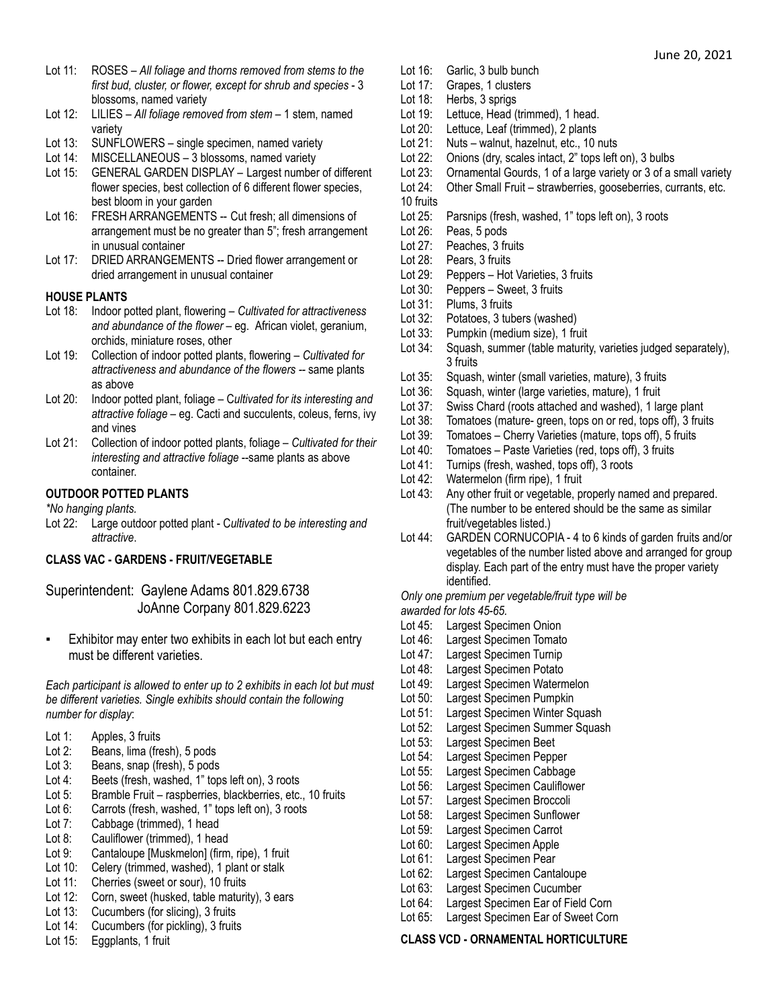- Lot 11: ROSES *All foliage and thorns removed from stems to the first bud, cluster, or flower, except for shrub and species* - 3 blossoms, named variety
- Lot 12: LILIES *All foliage removed from stem* 1 stem, named variety
- Lot 13: SUNFLOWERS single specimen, named variety
- Lot 14: MISCELLANEOUS 3 blossoms, named variety
- Lot 15: GENERAL GARDEN DISPLAY Largest number of different flower species, best collection of 6 different flower species, best bloom in your garden
- Lot 16: FRESH ARRANGEMENTS -- Cut fresh; all dimensions of arrangement must be no greater than 5"; fresh arrangement in unusual container
- Lot 17: DRIED ARRANGEMENTS -- Dried flower arrangement or dried arrangement in unusual container

#### **HOUSE PLANTS**

- Lot 18: Indoor potted plant, flowering *Cultivated for attractiveness and abundance of the flower* – eg. African violet, geranium, orchids, miniature roses, other
- Lot 19: Collection of indoor potted plants, flowering *Cultivated for attractiveness and abundance of the flowers --* same plants as above
- Lot 20: Indoor potted plant, foliage C*ultivated for its interesting and attractive foliage* – eg. Cacti and succulents, coleus, ferns, ivy and vines
- Lot 21: Collection of indoor potted plants, foliage *Cultivated for their interesting and attractive foliage* --same plants as above container.

# **OUTDOOR POTTED PLANTS**

*\*No hanging plants.*

Lot 22: Large outdoor potted plant - C*ultivated to be interesting and attractive*.

# **CLASS VAC - GARDENS - FRUIT/VEGETABLE**

Superintendent: Gaylene Adams 801.829.6738 JoAnne Corpany 801.829.6223

▪ Exhibitor may enter two exhibits in each lot but each entry must be different varieties.

*Each participant is allowed to enter up to 2 exhibits in each lot but must be different varieties. Single exhibits should contain the following number for display*:

- Lot 1: Apples, 3 fruits
- Lot 2: Beans, lima (fresh), 5 pods
- Lot 3: Beans, snap (fresh), 5 pods
- Lot 4: Beets (fresh, washed, 1" tops left on), 3 roots
- Lot 5: Bramble Fruit raspberries, blackberries, etc., 10 fruits
- Lot 6: Carrots (fresh, washed, 1" tops left on), 3 roots
- Lot 7: Cabbage (trimmed), 1 head
- Lot 8: Cauliflower (trimmed), 1 head
- Lot 9: Cantaloupe [Muskmelon] (firm, ripe), 1 fruit
- Lot 10: Celery (trimmed, washed), 1 plant or stalk
- Lot 11: Cherries (sweet or sour), 10 fruits
- Lot 12: Corn, sweet (husked, table maturity), 3 ears
- Lot 13: Cucumbers (for slicing), 3 fruits
- Lot 14: Cucumbers (for pickling), 3 fruits
- Lot 15: Eggplants, 1 fruit
- Lot 16: Garlic, 3 bulb bunch
- Lot 17: Grapes, 1 clusters
- Lot 18: Herbs, 3 sprigs
- Lot 19: Lettuce, Head (trimmed), 1 head.
- Lot 20: Lettuce, Leaf (trimmed), 2 plants
- Lot 21: Nuts walnut, hazelnut, etc., 10 nuts
- Lot 22: Onions (dry, scales intact, 2" tops left on), 3 bulbs
- Lot 23: Ornamental Gourds, 1 of a large variety or 3 of a small variety
- Lot 24: Other Small Fruit strawberries, gooseberries, currants, etc. 10 fruits
- Lot 25: Parsnips (fresh, washed, 1" tops left on), 3 roots
- Lot 26: Peas, 5 pods
- Lot 27: Peaches, 3 fruits
- Lot 28: Pears, 3 fruits
- Lot 29: Peppers Hot Varieties, 3 fruits
- Lot 30: Peppers Sweet, 3 fruits
- Lot 31: Plums, 3 fruits
- Lot 32: Potatoes, 3 tubers (washed)
- Lot 33: Pumpkin (medium size), 1 fruit
- Lot 34: Squash, summer (table maturity, varieties judged separately), 3 fruits
- Lot 35: Squash, winter (small varieties, mature), 3 fruits
- Lot 36: Squash, winter (large varieties, mature), 1 fruit
- Lot 37: Swiss Chard (roots attached and washed), 1 large plant
- Lot 38: Tomatoes (mature- green, tops on or red, tops off), 3 fruits<br>Lot 39: Tomatoes Cherry Varieties (mature, tops off), 5 fruits
- Tomatoes Cherry Varieties (mature, tops off), 5 fruits
- Lot 40: Tomatoes Paste Varieties (red, tops off), 3 fruits
- Lot 41: Turnips (fresh, washed, tops off), 3 roots
- Lot 42: Watermelon (firm ripe), 1 fruit
- Lot 43: Any other fruit or vegetable, properly named and prepared. (The number to be entered should be the same as similar fruit/vegetables listed.)
- Lot 44: GARDEN CORNUCOPIA 4 to 6 kinds of garden fruits and/or vegetables of the number listed above and arranged for group display. Each part of the entry must have the proper variety identified.

*Only one premium per vegetable/fruit type will be*

- *awarded for lots 45-65.*
- Lot 45: Largest Specimen Onion
- Lot 46: Largest Specimen Tomato
- Lot 47: Largest Specimen Turnip
- Lot 48: Largest Specimen Potato
- Lot 49: Largest Specimen Watermelon
- Lot 50: Largest Specimen Pumpkin
- Lot 51: Largest Specimen Winter Squash
- Lot 52: Largest Specimen Summer Squash
- Lot 53: Largest Specimen Beet
- Lot 54: Largest Specimen Pepper
- Lot 55: Largest Specimen Cabbage
- Lot 56: Largest Specimen Cauliflower
- Lot 57: Largest Specimen Broccoli
- Lot 58: Largest Specimen Sunflower
- Lot 59: Largest Specimen Carrot
- Lot 60: Largest Specimen Apple
- Lot 61: Largest Specimen Pear
- Lot 62: Largest Specimen Cantaloupe
- Lot 63: Largest Specimen Cucumber
- Lot 64: Largest Specimen Ear of Field Corn
- Lot 65: Largest Specimen Ear of Sweet Corn

#### **CLASS VCD - ORNAMENTAL HORTICULTURE**